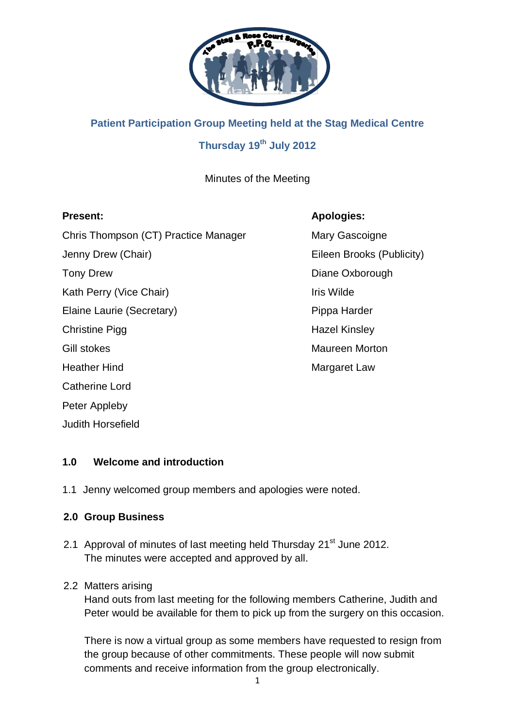

# **Patient Participation Group Meeting held at the Stag Medical Centre Thursday 19th July 2012**

Minutes of the Meeting

# **Present: Apologies:**

Chris Thompson (CT) Practice Manager Mary Gascoigne Jenny Drew (Chair) **Eileen Brooks** (Publicity) Tony Drew **Diane Oxborough** Kath Perry (Vice Chair) **If the State State State Iris Wilde** Elaine Laurie (Secretary) **Pippa Harder** Pippa Harder Christine Pigg **Hazel Kinsley** Gill stokes Maureen Morton Heather Hind **Margaret Law** Catherine Lord Peter Appleby Judith Horsefield

# **1.0 Welcome and introduction**

1.1 Jenny welcomed group members and apologies were noted.

# **2.0 Group Business**

2.1 Approval of minutes of last meeting held Thursday 21<sup>st</sup> June 2012. The minutes were accepted and approved by all.

# 2.2 Matters arising

Hand outs from last meeting for the following members Catherine, Judith and Peter would be available for them to pick up from the surgery on this occasion.

There is now a virtual group as some members have requested to resign from the group because of other commitments. These people will now submit comments and receive information from the group electronically.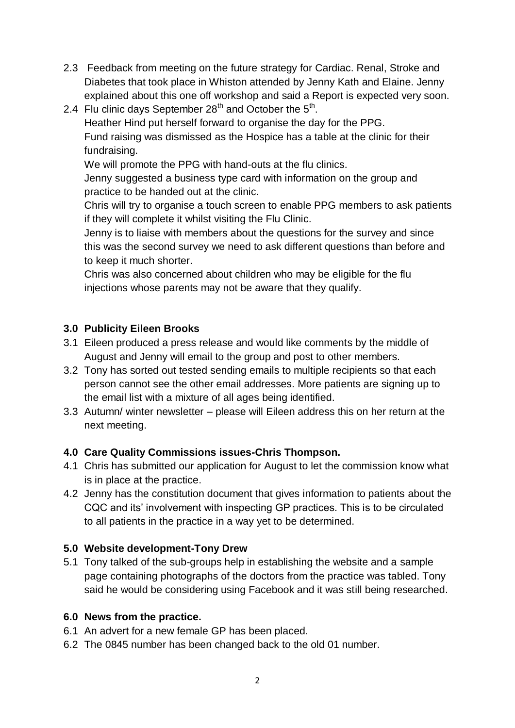- 2.3 Feedback from meeting on the future strategy for Cardiac. Renal, Stroke and Diabetes that took place in Whiston attended by Jenny Kath and Elaine. Jenny explained about this one off workshop and said a Report is expected very soon.
- 2.4 Flu clinic days September  $28<sup>th</sup>$  and October the  $5<sup>th</sup>$ . Heather Hind put herself forward to organise the day for the PPG. Fund raising was dismissed as the Hospice has a table at the clinic for their fundraising. We will promote the PPG with hand-outs at the flu clinics. Jenny suggested a business type card with information on the group and practice to be handed out at the clinic. Chris will try to organise a touch screen to enable PPG members to ask patients if they will complete it whilst visiting the Flu Clinic. Jenny is to liaise with members about the questions for the survey and since

this was the second survey we need to ask different questions than before and to keep it much shorter.

Chris was also concerned about children who may be eligible for the flu injections whose parents may not be aware that they qualify.

# **3.0 Publicity Eileen Brooks**

- 3.1 Eileen produced a press release and would like comments by the middle of August and Jenny will email to the group and post to other members.
- 3.2 Tony has sorted out tested sending emails to multiple recipients so that each person cannot see the other email addresses. More patients are signing up to the email list with a mixture of all ages being identified.
- 3.3 Autumn/ winter newsletter please will Eileen address this on her return at the next meeting.

# **4.0 Care Quality Commissions issues-Chris Thompson.**

- 4.1 Chris has submitted our application for August to let the commission know what is in place at the practice.
- 4.2 Jenny has the constitution document that gives information to patients about the CQC and its' involvement with inspecting GP practices. This is to be circulated to all patients in the practice in a way yet to be determined.

# **5.0 Website development-Tony Drew**

5.1 Tony talked of the sub-groups help in establishing the website and a sample page containing photographs of the doctors from the practice was tabled. Tony said he would be considering using Facebook and it was still being researched.

# **6.0 News from the practice.**

- 6.1 An advert for a new female GP has been placed.
- 6.2 The 0845 number has been changed back to the old 01 number.